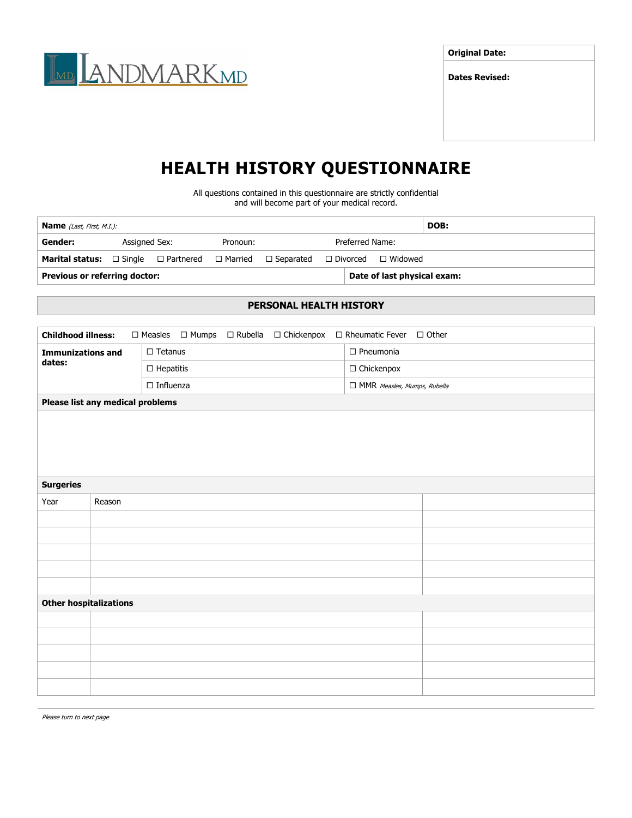

**Original Date:**

**Dates Revised:**

## **HEALTH HISTORY QUESTIONNAIRE**

All questions contained in this questionnaire are strictly confidential and will become part of your medical record.

| <b>Name</b> ( <i>Last, First, M.I.</i> ):                                             |                           |  |  |                 |  |                                | DOB: |
|---------------------------------------------------------------------------------------|---------------------------|--|--|-----------------|--|--------------------------------|------|
| Gender:                                                                               | Assigned Sex:<br>Pronoun: |  |  | Preferred Name: |  |                                |      |
| <b>Marital status:</b> $\Box$ Single $\Box$ Partnered $\Box$ Married $\Box$ Separated |                           |  |  |                 |  | $\Box$ Divorced $\Box$ Widowed |      |
| <b>Previous or referring doctor:</b>                                                  |                           |  |  |                 |  | Date of last physical exam:    |      |

## **PERSONAL HEALTH HISTORY**

| <b>Childhood illness:</b><br>$\Box$ Measles $\Box$ Mumps<br>$\Box$ Rubella<br>$\Box$ Tetanus<br>$\square$ Pneumonia<br><b>Immunizations and</b><br>dates:<br>$\Box$ Chickenpox<br>$\Box$ Hepatitis<br>$\Box$ Influenza<br>□ MMR Measles, Mumps, Rubella<br>Please list any medical problems<br>Reason<br><b>Other hospitalizations</b> |                  |  |  |  |  |  |  |  |  |  |  |
|----------------------------------------------------------------------------------------------------------------------------------------------------------------------------------------------------------------------------------------------------------------------------------------------------------------------------------------|------------------|--|--|--|--|--|--|--|--|--|--|
|                                                                                                                                                                                                                                                                                                                                        |                  |  |  |  |  |  |  |  |  |  |  |
|                                                                                                                                                                                                                                                                                                                                        |                  |  |  |  |  |  |  |  |  |  |  |
|                                                                                                                                                                                                                                                                                                                                        |                  |  |  |  |  |  |  |  |  |  |  |
|                                                                                                                                                                                                                                                                                                                                        |                  |  |  |  |  |  |  |  |  |  |  |
|                                                                                                                                                                                                                                                                                                                                        |                  |  |  |  |  |  |  |  |  |  |  |
|                                                                                                                                                                                                                                                                                                                                        |                  |  |  |  |  |  |  |  |  |  |  |
|                                                                                                                                                                                                                                                                                                                                        |                  |  |  |  |  |  |  |  |  |  |  |
|                                                                                                                                                                                                                                                                                                                                        |                  |  |  |  |  |  |  |  |  |  |  |
|                                                                                                                                                                                                                                                                                                                                        |                  |  |  |  |  |  |  |  |  |  |  |
|                                                                                                                                                                                                                                                                                                                                        |                  |  |  |  |  |  |  |  |  |  |  |
|                                                                                                                                                                                                                                                                                                                                        | <b>Surgeries</b> |  |  |  |  |  |  |  |  |  |  |
|                                                                                                                                                                                                                                                                                                                                        | Year             |  |  |  |  |  |  |  |  |  |  |
|                                                                                                                                                                                                                                                                                                                                        |                  |  |  |  |  |  |  |  |  |  |  |
|                                                                                                                                                                                                                                                                                                                                        |                  |  |  |  |  |  |  |  |  |  |  |
|                                                                                                                                                                                                                                                                                                                                        |                  |  |  |  |  |  |  |  |  |  |  |
|                                                                                                                                                                                                                                                                                                                                        |                  |  |  |  |  |  |  |  |  |  |  |
|                                                                                                                                                                                                                                                                                                                                        |                  |  |  |  |  |  |  |  |  |  |  |
|                                                                                                                                                                                                                                                                                                                                        |                  |  |  |  |  |  |  |  |  |  |  |
|                                                                                                                                                                                                                                                                                                                                        |                  |  |  |  |  |  |  |  |  |  |  |
|                                                                                                                                                                                                                                                                                                                                        |                  |  |  |  |  |  |  |  |  |  |  |
|                                                                                                                                                                                                                                                                                                                                        |                  |  |  |  |  |  |  |  |  |  |  |
|                                                                                                                                                                                                                                                                                                                                        |                  |  |  |  |  |  |  |  |  |  |  |
|                                                                                                                                                                                                                                                                                                                                        |                  |  |  |  |  |  |  |  |  |  |  |

Please turn to next page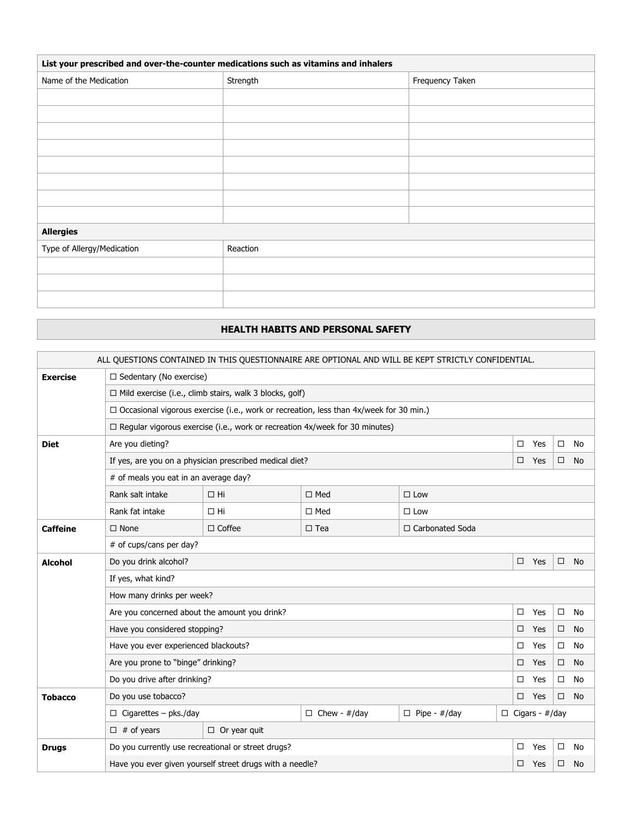| List your prescribed and over-the-counter medications such as vitamins and inhalers |          |                 |  |  |  |  |
|-------------------------------------------------------------------------------------|----------|-----------------|--|--|--|--|
| Name of the Medication                                                              | Strength | Frequency Taken |  |  |  |  |
|                                                                                     |          |                 |  |  |  |  |
|                                                                                     |          |                 |  |  |  |  |
|                                                                                     |          |                 |  |  |  |  |
|                                                                                     |          |                 |  |  |  |  |
|                                                                                     |          |                 |  |  |  |  |
|                                                                                     |          |                 |  |  |  |  |
|                                                                                     |          |                 |  |  |  |  |
|                                                                                     |          |                 |  |  |  |  |
| <b>Allergies</b>                                                                    |          |                 |  |  |  |  |
| Type of Allergy/Medication                                                          | Reaction |                 |  |  |  |  |
|                                                                                     |          |                 |  |  |  |  |
|                                                                                     |          |                 |  |  |  |  |
|                                                                                     |          |                 |  |  |  |  |

## **HEALTH HABITS AND PERSONAL SAFETY**

| ALL OUESTIONS CONTAINED IN THIS OUESTIONNAIRE ARE OPTIONAL AND WILL BE KEPT STRICTLY CONFIDENTIAL. |                                                                                               |                                                         |               |               |        |                       |        |           |  |  |
|----------------------------------------------------------------------------------------------------|-----------------------------------------------------------------------------------------------|---------------------------------------------------------|---------------|---------------|--------|-----------------------|--------|-----------|--|--|
| <b>Exercise</b>                                                                                    |                                                                                               | $\Box$ Sedentary (No exercise)                          |               |               |        |                       |        |           |  |  |
|                                                                                                    | $\Box$ Mild exercise (i.e., climb stairs, walk 3 blocks, golf)                                |                                                         |               |               |        |                       |        |           |  |  |
|                                                                                                    | $\Box$ Occasional vigorous exercise (i.e., work or recreation, less than 4x/week for 30 min.) |                                                         |               |               |        |                       |        |           |  |  |
|                                                                                                    | $\Box$ Regular vigorous exercise (i.e., work or recreation 4x/week for 30 minutes)            |                                                         |               |               |        |                       |        |           |  |  |
| <b>Diet</b>                                                                                        | Are you dieting?                                                                              |                                                         |               |               | □      | Yes                   | $\Box$ | No        |  |  |
|                                                                                                    |                                                                                               | If yes, are you on a physician prescribed medical diet? |               |               | $\Box$ | Yes                   | □      | No        |  |  |
|                                                                                                    | # of meals you eat in an average day?                                                         |                                                         |               |               |        |                       |        |           |  |  |
|                                                                                                    | Rank salt intake                                                                              | $\Box$ Hi                                               | $\square$ Med | $\square$ Low |        |                       |        |           |  |  |
|                                                                                                    | Rank fat intake                                                                               | $\Box$ Hi                                               | $\square$ Med | $\square$ Low |        |                       |        |           |  |  |
| <b>Caffeine</b>                                                                                    | $\Box$ None<br>$\Box$ Coffee<br>$\square$ Tea<br>□ Carbonated Soda                            |                                                         |               |               |        |                       |        |           |  |  |
|                                                                                                    | # of cups/cans per day?                                                                       |                                                         |               |               |        |                       |        |           |  |  |
| <b>Alcohol</b>                                                                                     | Do you drink alcohol?                                                                         |                                                         |               |               | $\Box$ | Yes                   | $\Box$ | <b>No</b> |  |  |
|                                                                                                    | If yes, what kind?                                                                            |                                                         |               |               |        |                       |        |           |  |  |
|                                                                                                    | How many drinks per week?                                                                     |                                                         |               |               |        |                       |        |           |  |  |
|                                                                                                    | Are you concerned about the amount you drink?                                                 |                                                         |               |               | $\Box$ | Yes                   | $\Box$ | <b>No</b> |  |  |
|                                                                                                    | Have you considered stopping?                                                                 |                                                         |               |               | □      | Yes                   | $\Box$ | <b>No</b> |  |  |
|                                                                                                    | Have you ever experienced blackouts?                                                          |                                                         |               |               | □      | Yes                   | $\Box$ | <b>No</b> |  |  |
|                                                                                                    | Are you prone to "binge" drinking?                                                            |                                                         |               |               |        | Yes                   | $\Box$ | No.       |  |  |
|                                                                                                    | Do you drive after drinking?                                                                  |                                                         |               |               | □      | Yes                   | $\Box$ | No        |  |  |
| <b>Tobacco</b>                                                                                     | Do you use tobacco?                                                                           |                                                         |               |               | $\Box$ | Yes                   | $\Box$ | <b>No</b> |  |  |
|                                                                                                    | $\Box$ Cigarettes - pks./day                                                                  | $\Box$ Chew - #/day<br>$\Box$ Pipe - #/day              |               |               |        | $\Box$ Cigars - #/day |        |           |  |  |
|                                                                                                    | $\Box$ # of years                                                                             | $\Box$ Or year quit                                     |               |               |        |                       |        |           |  |  |
| <b>Drugs</b>                                                                                       | Do you currently use recreational or street drugs?                                            |                                                         |               |               | $\Box$ | Yes                   | $\Box$ | No        |  |  |
|                                                                                                    | Have you ever given yourself street drugs with a needle?                                      |                                                         |               |               |        | Yes                   | □.     | <b>No</b> |  |  |